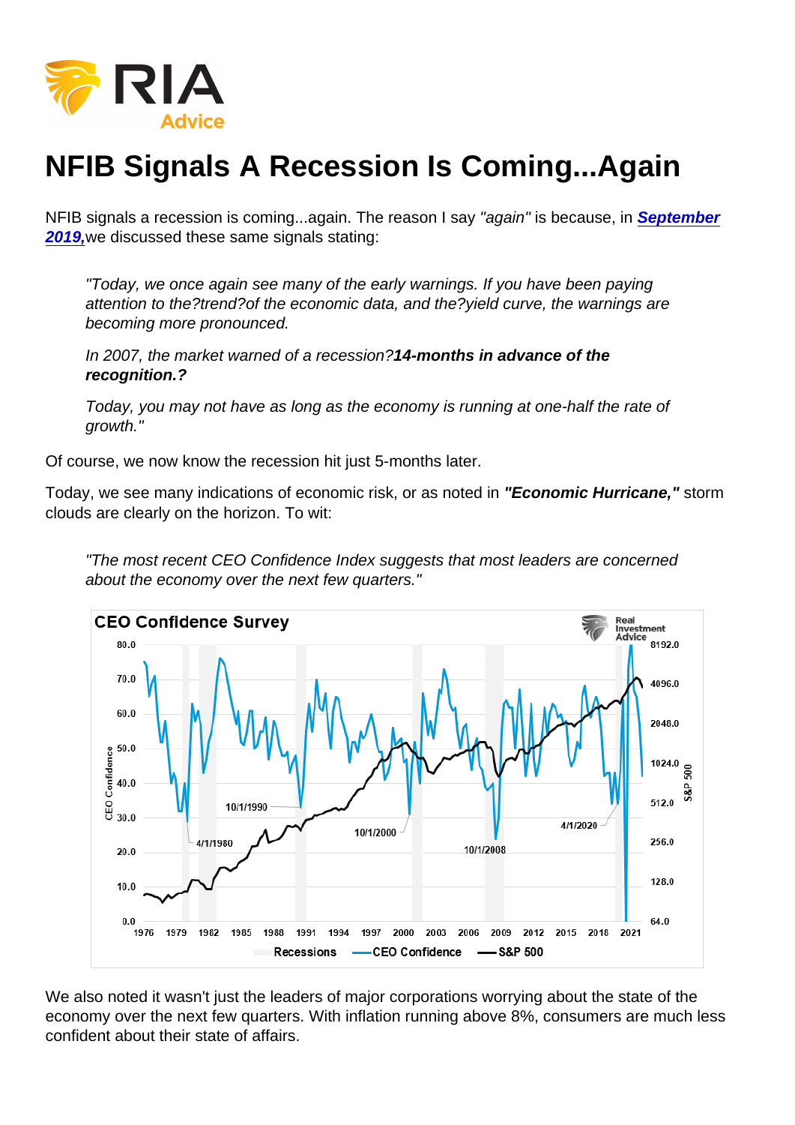# NFIB Signals A Recession Is Coming...Again

NFIB signals a recession is coming...again. The reason I say "again" is because, in [September](https://realinvestmentadvice.com/nfib-survey-trips-economic-alarms/) [2019,](https://realinvestmentadvice.com/nfib-survey-trips-economic-alarms/)we discussed these same signals stating:

"Today, we once again see many of the early warnings. If you have been paying attention to the?trend?of the economic data, and the?yield curve, the warnings are becoming more pronounced.

In 2007, the market warned of a recession?14-months in advance of the recognition.?

Today, you may not have as long as the economy is running at one-half the rate of growth."

Of course, we now know the recession hit just 5-months later.

Today, we see many indications of economic risk, or as noted in "Economic Hurricane," storm clouds are clearly on the horizon. To wit:

"The most recent CEO Confidence Index suggests that most leaders are concerned about the economy over the next few quarters."

We also noted it wasn't just the leaders of major corporations worrying about the state of the economy over the next few quarters. With inflation running above 8%, consumers are much less confident about their state of affairs.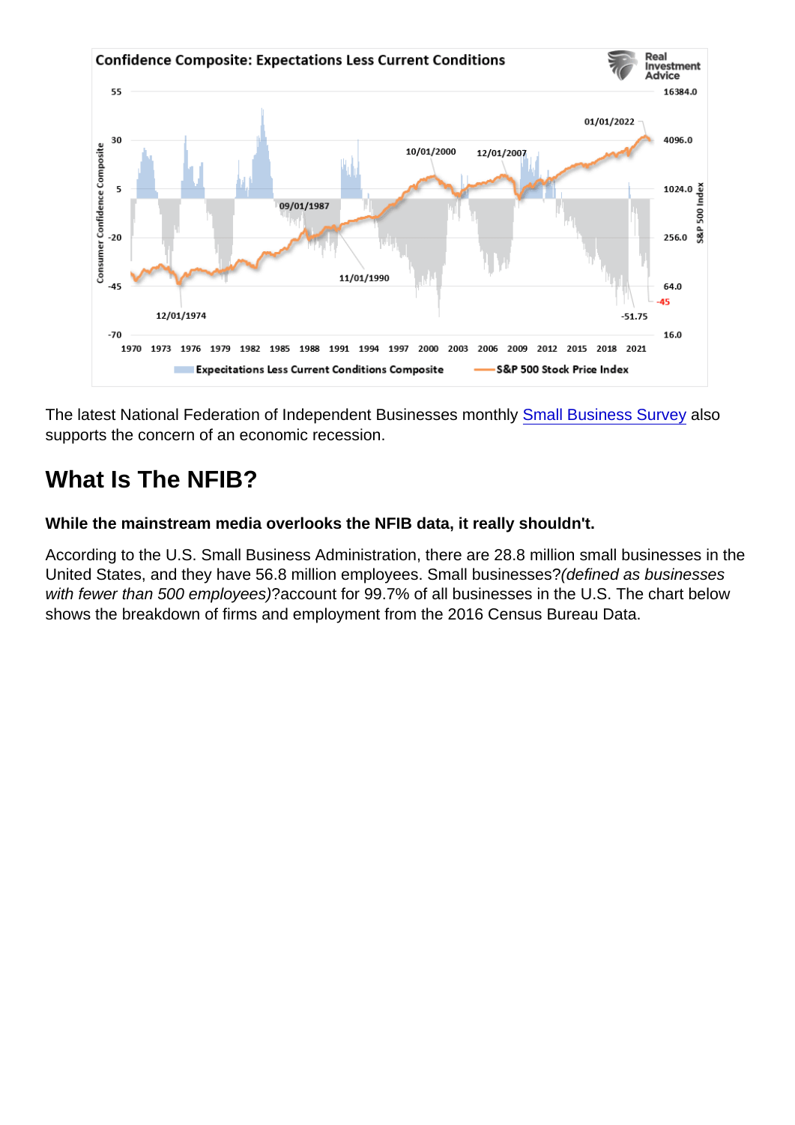The latest National Federation of Independent Businesses monthly [Small Business Survey](http://www.nfib.com/surveys/small-business-economic-trends/) also supports the concern of an economic recession.

# What Is The NFIB?

While the mainstream media overlooks the NFIB data, it really shouldn't.

According to the U.S. Small Business Administration, there are 28.8 million small businesses in the United States, and they have 56.8 million employees. Small businesses?(defined as businesses with fewer than 500 employees)?account for 99.7% of all businesses in the U.S. The chart below shows the breakdown of firms and employment from the 2016 Census Bureau Data.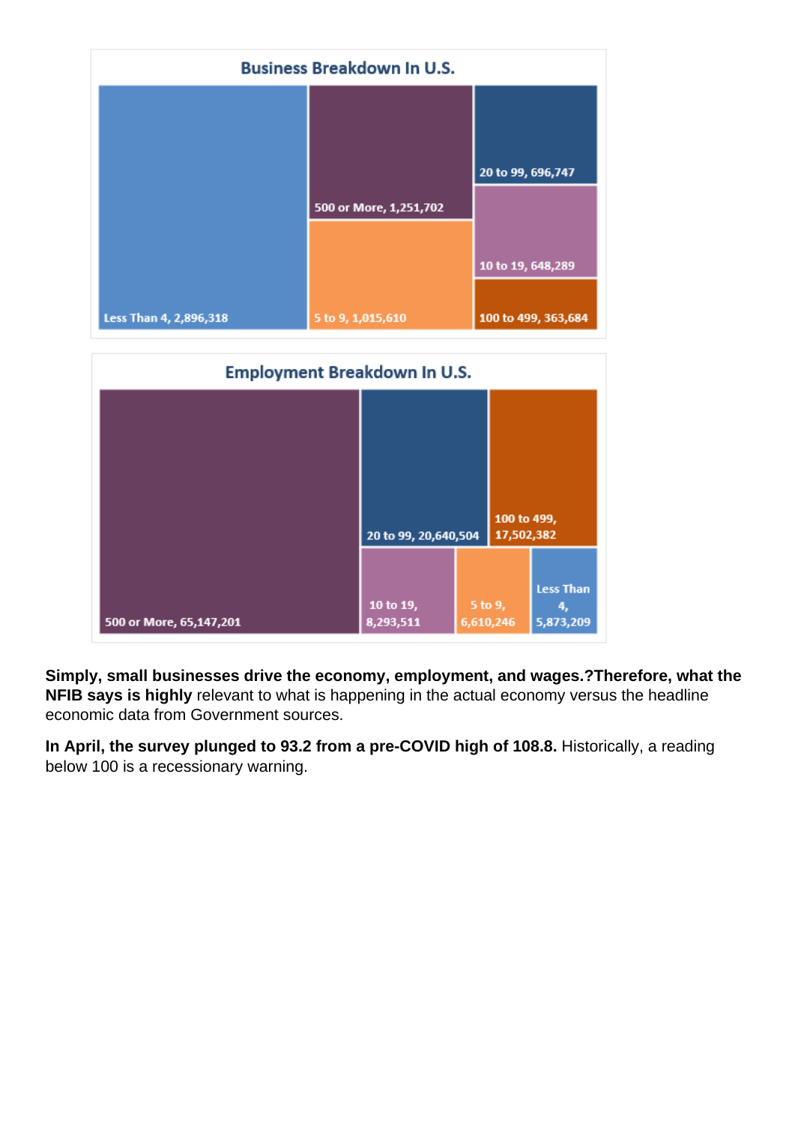Simply, small businesses drive the economy, employment, and wages.?Therefore, what the NFIB says is highly relevant to what is happening in the actual economy versus the headline economic data from Government sources.

In April, the survey plunged to 93.2 from a pre-COVID high of 108.8. Historically, a reading below 100 is a recessionary warning.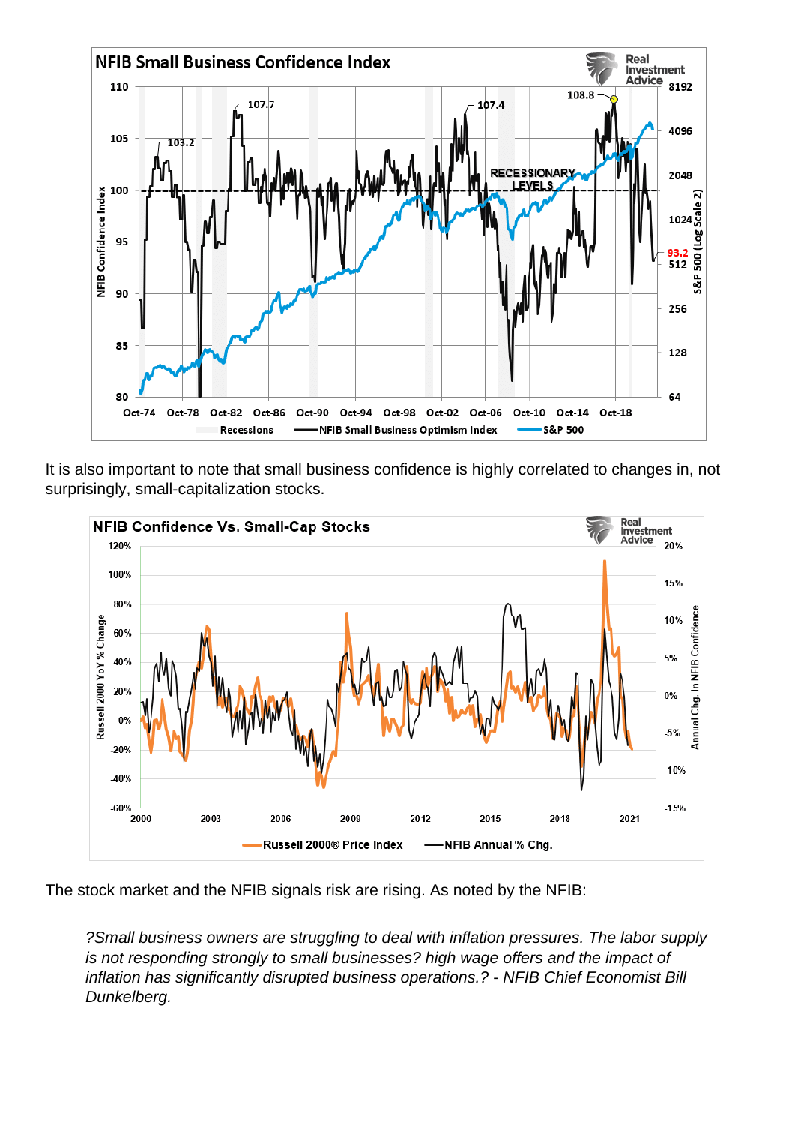It is also important to note that small business confidence is highly correlated to changes in, not surprisingly, small-capitalization stocks.

The stock market and the NFIB signals risk are rising. As noted by the NFIB:

?Small business owners are struggling to deal with inflation pressures. The labor supply is not responding strongly to small businesses? high wage offers and the impact of inflation has significantly disrupted business operations.? - NFIB Chief Economist Bill Dunkelberg.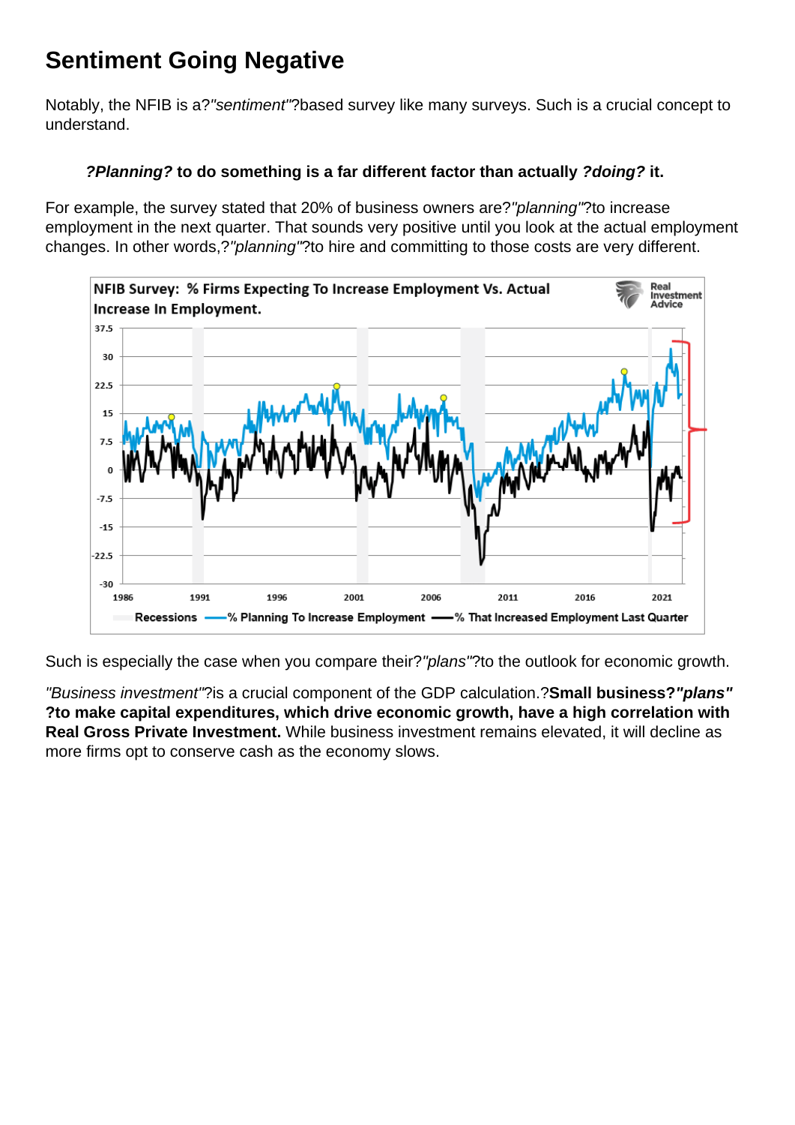## Sentiment Going Negative

Notably, the NFIB is a?"sentiment"?based survey like many surveys. Such is a crucial concept to understand.

?Planning? to do something is a far different factor than actually ?doing? it.

For example, the survey stated that 20% of business owners are?"planning"?to increase employment in the next quarter. That sounds very positive until you look at the actual employment changes. In other words,?"planning"?to hire and committing to those costs are very different.

Such is especially the case when you compare their?"plans"?to the outlook for economic growth.

"Business investment"?is a crucial component of the GDP calculation.?Small business? "plans" ?to make capital expenditures, which drive economic growth, have a high correlation with Real Gross Private Investment. While business investment remains elevated, it will decline as more firms opt to conserve cash as the economy slows.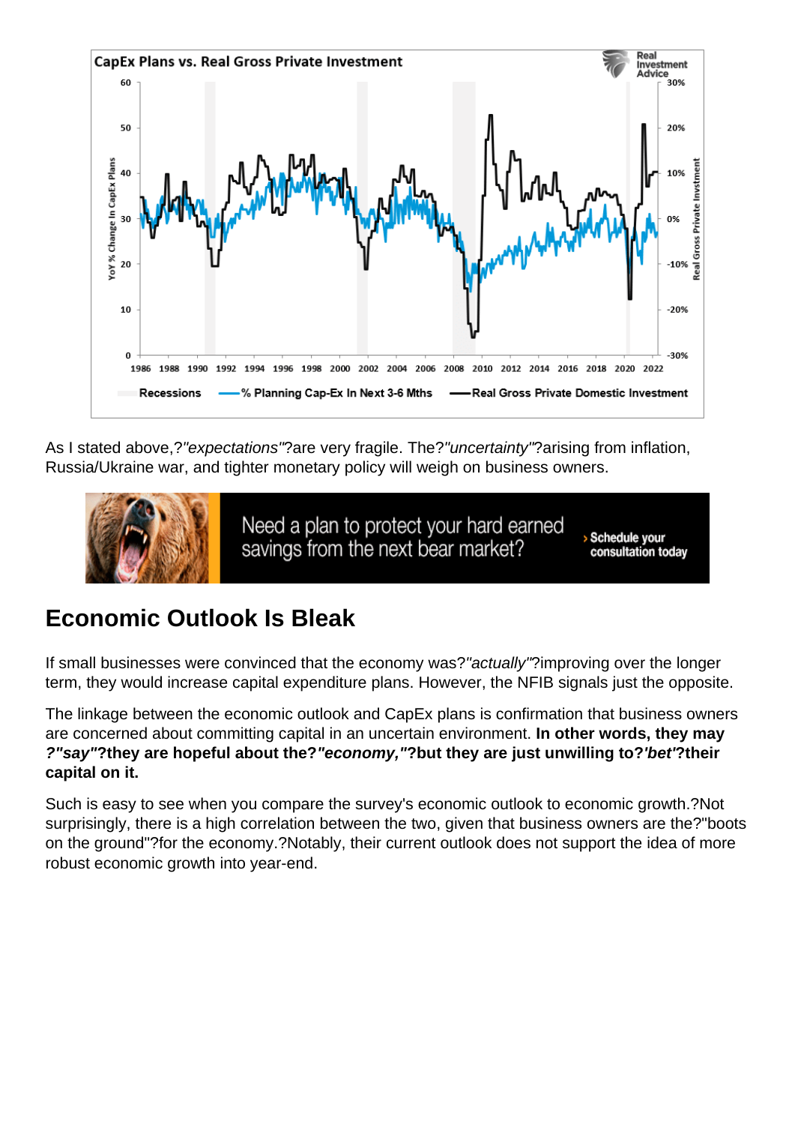As I stated above,?"expectations"?are very fragile. The?"uncertainty"?arising from inflation, Russia/Ukraine war, and tighter monetary policy will weigh on business owners.

#### Economic Outlook Is Bleak

If small businesses were convinced that the economy was?"actually"?improving over the longer term, they would increase capital expenditure plans. However, the NFIB signals just the opposite.

The linkage between the economic outlook and CapEx plans is confirmation that business owners are concerned about committing capital in an uncertain environment. In other words, they may ?"say" ?they are hopeful about the? "economy," ?but they are just unwilling to? 'bet' ?their capital on it.

Such is easy to see when you compare the survey's economic outlook to economic growth.?Not surprisingly, there is a high correlation between the two, given that business owners are the?"boots on the ground"?for the economy.?Notably, their current outlook does not support the idea of more robust economic growth into year-end.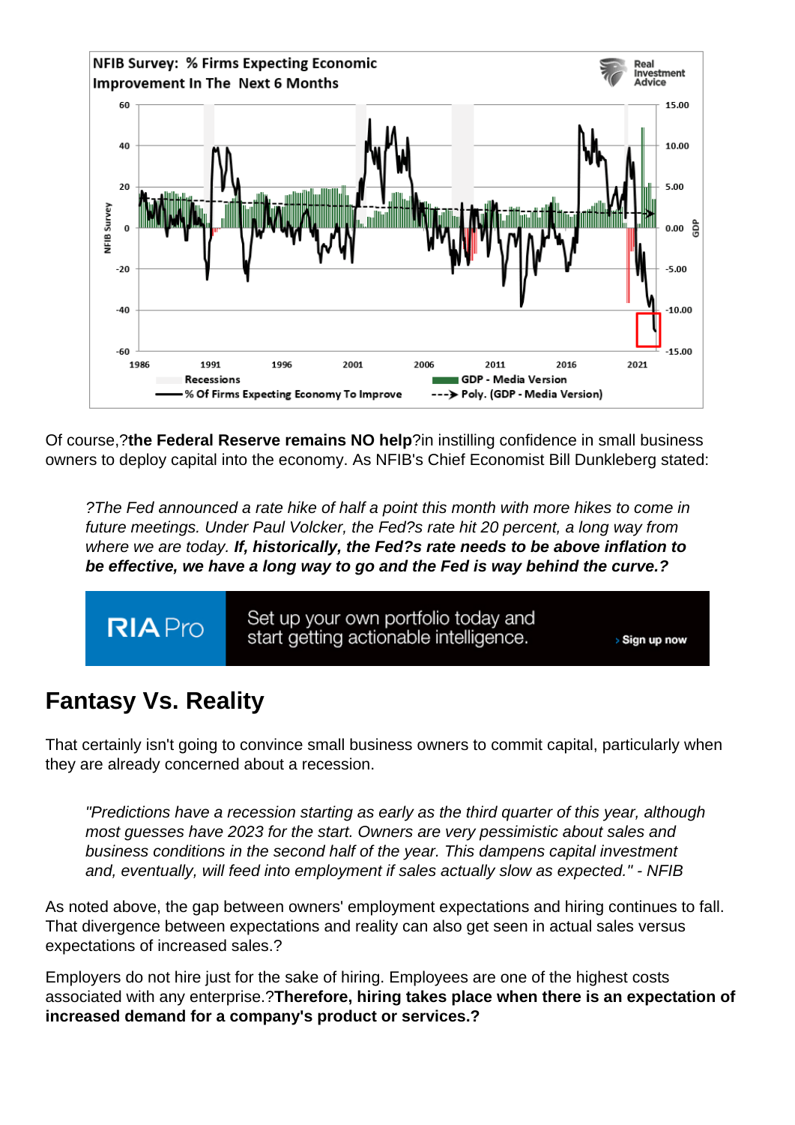Of course,?the Federal Reserve remains NO help ?in instilling confidence in small business owners to deploy capital into the economy. As NFIB's Chief Economist Bill Dunkleberg stated:

?The Fed announced a rate hike of half a point this month with more hikes to come in future meetings. Under Paul Volcker, the Fed?s rate hit 20 percent, a long way from where we are today. If, historically, the Fed?s rate needs to be above inflation to be effective, we have a long way to go and the Fed is way behind the curve.?

# Fantasy Vs. Reality

That certainly isn't going to convince small business owners to commit capital, particularly when they are already concerned about a recession.

"Predictions have a recession starting as early as the third quarter of this year, although most guesses have 2023 for the start. Owners are very pessimistic about sales and business conditions in the second half of the year. This dampens capital investment and, eventually, will feed into employment if sales actually slow as expected." - NFIB

As noted above, the gap between owners' employment expectations and hiring continues to fall. That divergence between expectations and reality can also get seen in actual sales versus expectations of increased sales.?

Employers do not hire just for the sake of hiring. Employees are one of the highest costs associated with any enterprise.?Therefore, hiring takes place when there is an expectation of increased demand for a company's product or services.?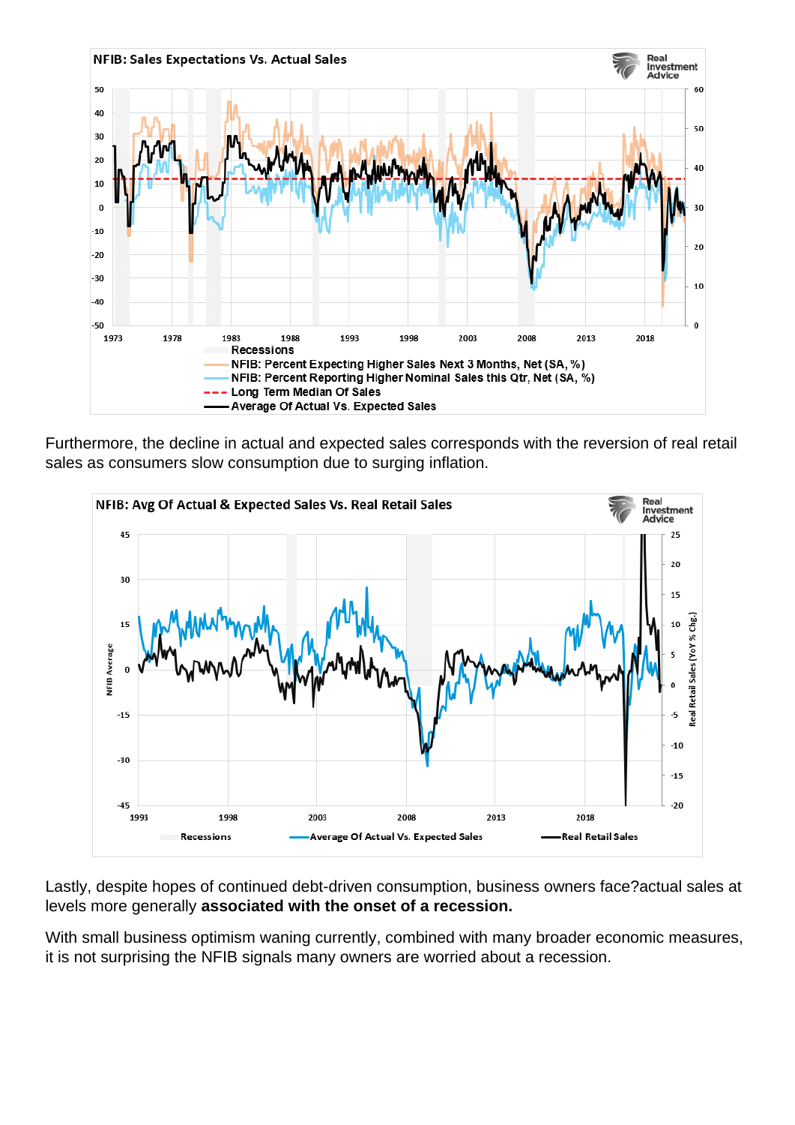Furthermore, the decline in actual and expected sales corresponds with the reversion of real retail sales as consumers slow consumption due to surging inflation.

Lastly, despite hopes of continued debt-driven consumption, business owners face?actual sales at levels more generally associated with the onset of a recession.

With small business optimism waning currently, combined with many broader economic measures, it is not surprising the NFIB signals many owners are worried about a recession.